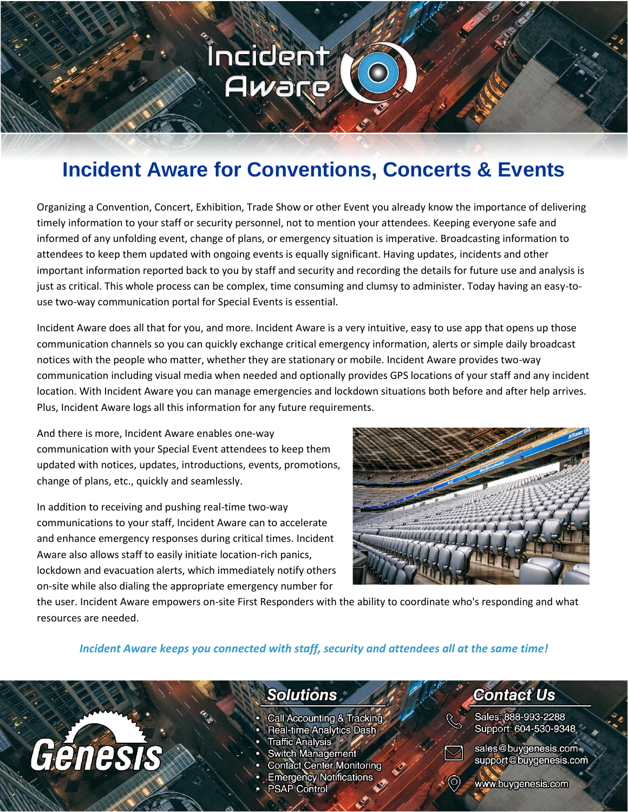## **Incident Aware for Conventions, Concerts & Events**

<u>Íncident</u>

Aware

Organizing a Convention, Concert, Exhibition, Trade Show or other Event you already know the importance of delivering timely information to your staff or security personnel, not to mention your attendees. Keeping everyone safe and informed of any unfolding event, change of plans, or emergency situation is imperative. Broadcasting information to attendees to keep them updated with ongoing events is equally significant. Having updates, incidents and other important information reported back to you by staff and security and recording the details for future use and analysis is just as critical. This whole process can be complex, time consuming and clumsy to administer. Today having an easy-touse two-way communication portal for Special Events is essential.

Incident Aware does all that for you, and more. Incident Aware is a very intuitive, easy to use app that opens up those communication channels so you can quickly exchange critical emergency information, alerts or simple daily broadcast notices with the people who matter, whether they are stationary or mobile. Incident Aware provides two-way communication including visual media when needed and optionally provides GPS locations of your staff and any incident location. With Incident Aware you can manage emergencies and lockdown situations both before and after help arrives. Plus, Incident Aware logs all this information for any future requirements.

And there is more, Incident Aware enables one-way communication with your Special Event attendees to keep them updated with notices, updates, introductions, events, promotions, change of plans, etc., quickly and seamlessly.

In addition to receiving and pushing real-time two-way communications to your staff, Incident Aware can to accelerate and enhance emergency responses during critical times. Incident Aware also allows staff to easily initiate location-rich panics, lockdown and evacuation alerts, which immediately notify others on-site while also dialing the appropriate emergency number for



the user. Incident Aware empowers on-site First Responders with the ability to coordinate who's responding and what resources are needed.

#### *Incident Aware keeps you connected with staff, security and attendees all at the same time!*

# Genesis

#### **Solutions**

- Call Accounting & Tracking
- **Real-time Analytics Dash**
- Traffic Analysis \*
- **Switch Management**
- **Contact Center Monitoring**
- **Emergency Notifications**
- **PSAP Control**

### **Contact Us**

Sales: 888-993-2288 Support: 604-530-9348



sales@buygenesis.com support@buygenesis.com

www.buygenesis.com